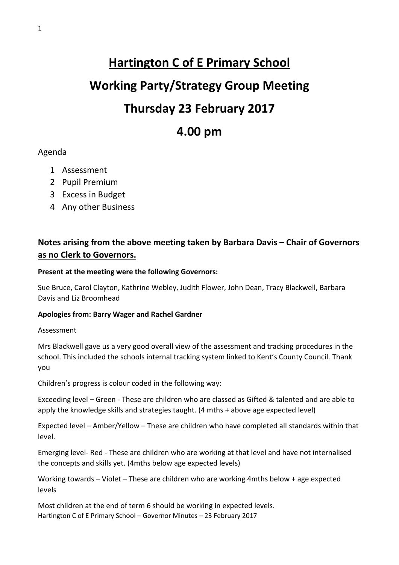# **Hartington C of E Primary School Working Party/Strategy Group Meeting Thursday 23 February 2017 4.00 pm**

# Agenda

- 1 Assessment
- 2 Pupil Premium
- 3 Excess in Budget
- 4 Any other Business

# **Notes arising from the above meeting taken by Barbara Davis – Chair of Governors as no Clerk to Governors.**

#### **Present at the meeting were the following Governors:**

Sue Bruce, Carol Clayton, Kathrine Webley, Judith Flower, John Dean, Tracy Blackwell, Barbara Davis and Liz Broomhead

# **Apologies from: Barry Wager and Rachel Gardner**

#### Assessment

Mrs Blackwell gave us a very good overall view of the assessment and tracking procedures in the school. This included the schools internal tracking system linked to Kent's County Council. Thank you

Children's progress is colour coded in the following way:

Exceeding level – Green - These are children who are classed as Gifted & talented and are able to apply the knowledge skills and strategies taught. (4 mths + above age expected level)

Expected level – Amber/Yellow – These are children who have completed all standards within that level.

Emerging level- Red - These are children who are working at that level and have not internalised the concepts and skills yet. (4mths below age expected levels)

Working towards – Violet – These are children who are working 4mths below + age expected levels

Hartington C of E Primary School – Governor Minutes – 23 February 2017 Most children at the end of term 6 should be working in expected levels.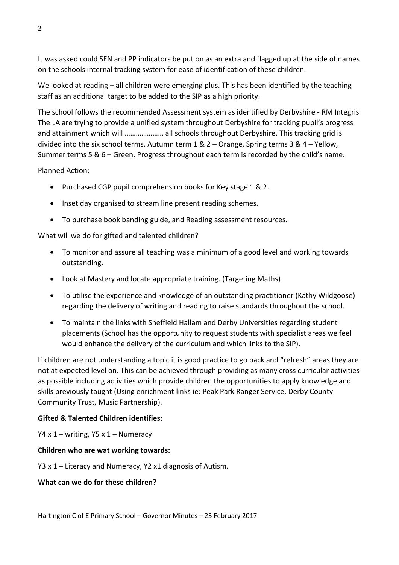It was asked could SEN and PP indicators be put on as an extra and flagged up at the side of names on the schools internal tracking system for ease of identification of these children.

We looked at reading – all children were emerging plus. This has been identified by the teaching staff as an additional target to be added to the SIP as a high priority.

The school follows the recommended Assessment system as identified by Derbyshire - RM Integris The LA are trying to provide a unified system throughout Derbyshire for tracking pupil's progress and attainment which will ………………… all schools throughout Derbyshire. This tracking grid is divided into the six school terms. Autumn term 1 & 2 – Orange, Spring terms 3 & 4 – Yellow, Summer terms 5 & 6 – Green. Progress throughout each term is recorded by the child's name.

Planned Action:

- Purchased CGP pupil comprehension books for Key stage 1 & 2.
- Inset day organised to stream line present reading schemes.
- To purchase book banding guide, and Reading assessment resources.

What will we do for gifted and talented children?

- To monitor and assure all teaching was a minimum of a good level and working towards outstanding.
- Look at Mastery and locate appropriate training. (Targeting Maths)
- To utilise the experience and knowledge of an outstanding practitioner (Kathy Wildgoose) regarding the delivery of writing and reading to raise standards throughout the school.
- To maintain the links with Sheffield Hallam and Derby Universities regarding student placements (School has the opportunity to request students with specialist areas we feel would enhance the delivery of the curriculum and which links to the SIP).

If children are not understanding a topic it is good practice to go back and "refresh" areas they are not at expected level on. This can be achieved through providing as many cross curricular activities as possible including activities which provide children the opportunities to apply knowledge and skills previously taught (Using enrichment links ie: Peak Park Ranger Service, Derby County Community Trust, Music Partnership).

# **Gifted & Talented Children identifies:**

Y4 x  $1$  – writing, Y5 x  $1$  – Numeracy

#### **Children who are wat working towards:**

Y3 x 1 – Literacy and Numeracy, Y2 x1 diagnosis of Autism.

#### **What can we do for these children?**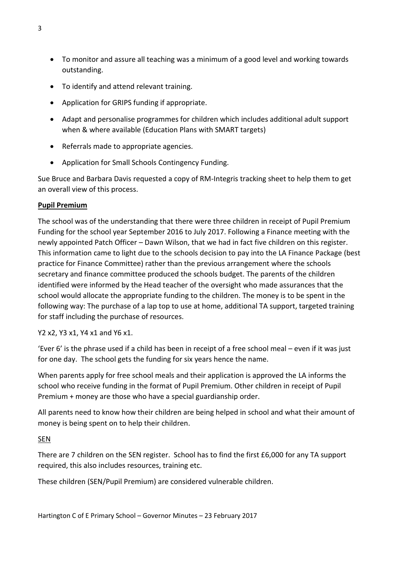- To monitor and assure all teaching was a minimum of a good level and working towards outstanding.
- To identify and attend relevant training.
- Application for GRIPS funding if appropriate.
- Adapt and personalise programmes for children which includes additional adult support when & where available (Education Plans with SMART targets)
- Referrals made to appropriate agencies.
- Application for Small Schools Contingency Funding.

Sue Bruce and Barbara Davis requested a copy of RM-Integris tracking sheet to help them to get an overall view of this process.

#### **Pupil Premium**

The school was of the understanding that there were three children in receipt of Pupil Premium Funding for the school year September 2016 to July 2017. Following a Finance meeting with the newly appointed Patch Officer – Dawn Wilson, that we had in fact five children on this register. This information came to light due to the schools decision to pay into the LA Finance Package (best practice for Finance Committee) rather than the previous arrangement where the schools secretary and finance committee produced the schools budget. The parents of the children identified were informed by the Head teacher of the oversight who made assurances that the school would allocate the appropriate funding to the children. The money is to be spent in the following way: The purchase of a lap top to use at home, additional TA support, targeted training for staff including the purchase of resources.

Y2 x2, Y3 x1, Y4 x1 and Y6 x1.

'Ever 6' is the phrase used if a child has been in receipt of a free school meal – even if it was just for one day. The school gets the funding for six years hence the name.

When parents apply for free school meals and their application is approved the LA informs the school who receive funding in the format of Pupil Premium. Other children in receipt of Pupil Premium + money are those who have a special guardianship order.

All parents need to know how their children are being helped in school and what their amount of money is being spent on to help their children.

# SEN

There are 7 children on the SEN register. School has to find the first £6,000 for any TA support required, this also includes resources, training etc.

These children (SEN/Pupil Premium) are considered vulnerable children.

Hartington C of E Primary School – Governor Minutes – 23 February 2017